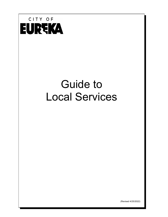

# Guide to Local Services

(Revised 4/25/2022)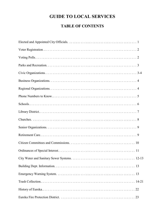# **GUIDE TO LOCAL SERVICES**

# **TABLE OF CONTENTS**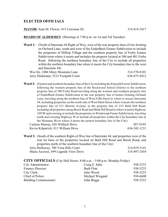#### **ELECTED OFFICIALS**

**MAYOR:** Sean M. Flower, 415 Cerromar Dr. 314-414-3417

#### **BOARD OF ALDERMEN** (Meetings at 7:00 p.m. on 1st and 3rd Tuesday)

| <b>Ward 1:</b> (North of Interstate 44 Right-of Way, west of the rear property lines of lots fronting |              |
|-------------------------------------------------------------------------------------------------------|--------------|
| on Orchard Lane, south and west of the EnderBush Estates Subdivision to include                       |              |
| the properties of Hilltop Village and the southern property line of Forby Estates                     |              |
| Subdivision where it meets and includes the property located at 300 and 401 Forby                     |              |
| Road, following the northern boundary line of the City to include all properties                      |              |
| within the northern boundary line where it meets the City boundary line to the west                   |              |
| and Interstate 44)                                                                                    |              |
| Wes Sir, 1006 Misty Mountain Lane                                                                     | 314-570-8101 |

| WES SIL, TOUD MISTY MOUNTAIN LANE   | $214 - 210 - 0101$ |
|-------------------------------------|--------------------|
| Jerry Diekmann, 5215 Footpath Court | 636-675-4412       |

**Ward 2:** (Eastern and northern boundary line of theCity including the Emerald Forest Subdivision, following the western property line of the Rockwood School District to the northern property line of 300 Forby Road traveling along the western and southern property line of EnderBush Estates Subdivision to the rear property line of homes fronting Orchard Lane, traveling along the northern line of West Fifth Street to where it crosses Interstate 44, including properties on the north side of West Main Street where it meets the northern property line of 215 Sheerin Avenue, to the property line of 353 Bald Hill Road, including all properties along Brock Road and Bald Hill Road to where it meets Highway 109/W and crossing to include the properties in Windswept Farms Subdivision, traveling north and crossing Highway W to include all properties within the City boundary line at the Meramec River where it meets the eastern boundary line of the City)

| Carleen Murray, 626 Wallach Drive   | 587-9195     |
|-------------------------------------|--------------|
| Kevin Kilpatrick, 811 William Drive | 636-242-1231 |

**Ward 3:** (South of the southern Right-of-Way line of Interstate 44, and properties west of the rear lot lines of the properties located on Bald Hill Road and Brock Road, and properties north of the southern boundary line of the City) Jerry Holloway, 780 Vista Hills Court 314-819-3141 Maria Ascrizzi, 699 Legends View Drive 314-497-2454

#### **CITY OFFICIALS** (City Hall Hours: 8:00 a.m. - 5:00 p.m. Monday-Friday)

| City Administrator:    | Craig E. Sabo   | 938-5233 |
|------------------------|-----------------|----------|
| Finance Director:      | Barb Flint      | 938-5233 |
| City Clerk:            | Julie Wood      | 938-5233 |
| Chief of Police:       | Michael Wiegand | 938-6600 |
| Building Commissioner: | John Boggs      | 938-5233 |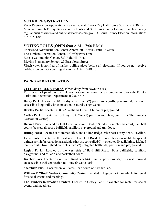## **VOTER REGISTRATION**

Voter Registration Applications are available at Eureka City Hall from 8:30 a.m. to 4:30 p.m., Monday through Friday, Rockwood Schools and St. Louis County Library branches during regular business hours and online at www.sos.mo.gov. St. Louis County Election Information: 314-615-1800.

#### **VOTING POLLS** (OPEN 6:00 A.M. - 7:00 P.M.)\*

Rockwood Administration Center Annex, 500 North Central Avenue

The Timbers Recreation Center, 1 Coffey Park Lane

Eureka Community Center, 333 Bald Hill Road

Blevins Elementary School, 25 East North Street

\*Each voter is notified of his/her polling place before all elections. If you do not receive notification contact voter registration at 314-615-1800.

#### **PARKS AND RECREATION**

**CITY OF EUREKA PARKS** (Open daily from dawn to dusk)

To reserve park pavilions, ballfields or the Community or Recreation Centers, phone the Eureka Parks and Recreation Department at 938-6775.

**Berry Park:** Located at 401 Forby Road. Two (2) pavilions w/grills, playground, restroom, accessible loop trail with connection to Eureka High School

**Bowlby Park:** Located at 807A Williams Drive. Children's playground.

**Coffey Park:** Located off of Hwy. 109. One (1) pavilion and playground, plus The Timbers Recreation Center).

**Drewel Park:** Located on Hill Drive in Shaws Garden Subdivision. Tennis court, handball courts, basketball court, ballfield, pavilion, playground and trail loop.

**Hilltop Park:** Located at Meramec Blvd. and Hilltop Ridge Drive near Forby Road. Pavilion.

**Lions Park:** Located on the east side of Bald Hill Road. Extended hours available by special written permit for recreational activities that use controlled City-operated fixed lighting. Lighted tennis courts, two lighted ballfields, two (2) unlighted ballfields, pavilion and playground.

**Legion Park:** Located on the west side of Bald Hill Road. Four ballfields, pavilion, playground, and roller blade/basketball court.

**Kircher Park:** Located on Williams Road near I-44. Two (2) pavilions w/grills, a restroomand an accessible trail connection to Route 66 State Park.

**Soetebier Park:** Located on Williams Road south of Kircher Park.

**William F. "Bud" Weber Community Center:** Located in Legion Park. Available for rental for social events and meetings.

**The Timbers Recreation Center:** Located in Coffey Park. Available for rental for social events and meetings.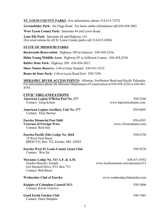**ST. LOUIS COUNTY PARKS** (For information, phone 314-615-7275)

**Greensfelder Park:** Six Flags Road. For horse stable information call 636-458-3801.

**West Tyson County Park:** Interstate 44 and Lewis Road.

**Lone Elk Park:** Interstate 44 and Highway 141. (For reservations for all St. Louis County parks call 314-615-4386)

#### **STATE OF MISSOURI PARKS**

**Rockwoods Reservation:** Highway 109 in Glencoe: 636-458-2236.

**Hilda Young Wildlife Area:** Highway FF in Jefferson County: 636-458-2236.

**Babler State Park:** Highway 109: 636-458-3813.

**Shaw Nature Reserve:** I-44 at Gray Summit: 636-451-3512.

**Route 66 State Park:** I-44 at Lewis Road Exit: 938-7198.

**MERAMEC RIVER ACCESS POINTS:** Allenton, Swiftwater Bend and Pacific Palisades. For information phone the Missouri Department of Conservation at 636-458-2236 or 636-441- 4554.

| <b>CIVIC ORGANIZATIONS</b>                                                                                                  |                                                |
|-----------------------------------------------------------------------------------------------------------------------------|------------------------------------------------|
| <b>American Legion O'Brien Post No. 177</b>                                                                                 | 938-5546                                       |
| Contact: Greg Kitson                                                                                                        | www.legioneurekamo.com                         |
| <b>American Legion Auxiliary Unit No. 177</b><br>Contact: Elsie Becker                                                      | 938-6689                                       |
| <b>Eureka Memorial Post 5468</b>                                                                                            | 938-6393                                       |
| <b>Veterans of Foreign Wars</b><br><b>Contact: Rich Sax</b>                                                                 | www.vfweurekamo.com                            |
| Eureka-Pacific Elks Lodge No. 2644<br>19 West First Street<br>BPOE P.O. Box 732, Eureka, MO 63025                           | 938-6720                                       |
| <b>Eureka West St. Louis County Lions Club</b><br>Contact: Wes Sir                                                          | 938-9270                                       |
| Meramec Lodge No. 313 A.F. & A.M.<br>Eureka Masonic Temple<br>616 Stockell Drive, P.O. Box 713<br><b>Contact: Bob Bauer</b> | 636-671-0762<br>www.mofreemason.com/meramec313 |
| <b>Wednesday Club of Eureka</b>                                                                                             | www.wednesdayclubeureka.com                    |
| <b>Knights of Columbus Council 3511</b><br><b>Contact: Kevin Vescovo</b>                                                    | 938-3096                                       |
| <b>Good Earth Garden Club</b><br><b>Contact: Doris Samples</b>                                                              | 938-7401                                       |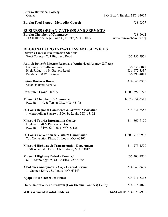# **Eureka Historical Society**

P.O. Box 4: Eureka, MO 63025

| <b>Eureka Food Pantry - Methodist Church</b>                                                        | 938-6377                          |
|-----------------------------------------------------------------------------------------------------|-----------------------------------|
| <b>BUSINESS ORGANIZATIONS AND SERVICES</b>                                                          |                                   |
| <b>Eureka Chamber of Commerce</b><br>113 Hilltop Village, Suite C, Eureka, MO 63025                 | 938-6062<br>www.eurekachamber.org |
|                                                                                                     |                                   |
| <b>REGIONAL ORGANIZATIONS AND SERVICES</b>                                                          |                                   |
| <b>Driver's License Examination Stations</b><br>West County - 703 Big Bend Road                     | 636-256-3951                      |
|                                                                                                     |                                   |
| Auto & Driver's License Renewals (Authorized Agency Offices)<br>Ballwin - 12 Ballwin Plaza          | 636-230-5041                      |
| High Ridge - 1684 Gravois Road                                                                      | 636-677-3339                      |
| Pacific - 730 West Osage                                                                            | 636-393-4011                      |
| <b>Better Business Bureau</b>                                                                       | 314-645-3300                      |
| 5100 Oakland Avenue                                                                                 |                                   |
| <b>Consumer Fraud Hotline</b>                                                                       | 1-800-392-8222                    |
| <b>Missouri Chamber of Commerce</b>                                                                 | 1-573-634-3511                    |
| P.O. Box 149, Jefferson City, MO 65102                                                              |                                   |
| St. Louis Regional Commerce & Growth Association                                                    | 314-231-5555                      |
| 1 Metropolitan Square #1300, St. Louis, MO 63102                                                    |                                   |
| <b>Missouri Tourist Information Center</b>                                                          | 314-869-7100                      |
| Highway 270 & Riverview Drive<br>P.O. Box 13495, St. Louis, MO 63138                                |                                   |
|                                                                                                     |                                   |
| <b>St. Louis Convention &amp; Visitor's Commission</b><br>701 Convention Plaza, St. Louis, MO 63101 | 1-800-916-8938                    |
|                                                                                                     |                                   |
| Missouri Highway & Transportation Department<br>1590 Woodlake Drive, Chesterfield, MO 63017         | 314-275-1500                      |
|                                                                                                     |                                   |
| Missouri Highway Patrol - Troop C<br>891 Technology Dr., St. Charles, MO 63304                      | 636-300-2800                      |
|                                                                                                     |                                   |
| <b>Alcoholics Anonymous (AA) - Central Service</b><br>14 Sunnen Drive., St. Louis, MO 63143         | 314-647-3677                      |
| <b>Agape House (Discount Items)</b>                                                                 | 636-271-5315                      |
| Home Improvement Program (Low Income Families) Debby                                                | 314-615-4025                      |
| WIC (Women/Infants/Children)                                                                        | 314-615-0685/314-679-7900         |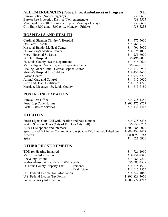| <b>ALL EMERGENCIES (Police, Fire, Ambulance) in Progress</b> | 911      |
|--------------------------------------------------------------|----------|
| Eureka Police (Non-emergency)                                | 938-6600 |
| Eureka Fire Protection District (Non-emergency)              | 938-5505 |
| Municipal Court (8:00 a.m. - 5:00 p.m., Monday - Friday)     | 938-6600 |
| City Hall $(8:00 a.m. - 5:00 p.m.,$ Monday - Friday)         | 938-5233 |

# **HOSPITALS AND HEALTH**

| Cardinal Glennon Children's Hospital          | 314-577-5600 |
|-----------------------------------------------|--------------|
| Des Peres Hospital                            | 314-966-9100 |
| Missouri Baptist Medical Center               | 314-996-5000 |
| St. Anthony's Medical Center                  | 314-525-1000 |
| Mercy Hospital St. Louis                      | 314-251-6000 |
| St. Clare Hospital                            | 636-496-2000 |
| St. Louis County Health Department            | 314-615-0600 |
| Mercy Urgent Care - Legends Corporate Center  | 636-549-0100 |
| Healing Grace Clinic - Central Baptist Church | 636-777-2937 |
| Shriner's Hospital for Children               | 314-432-3600 |
| Poison Control                                | 314-772-5200 |
| Animal Care and Control                       | 314-615-0650 |
| Birth and Death Certificates                  | 314-615-1720 |
| Marriage Licenses - St. Louis County          | 314-615-7180 |
|                                               |              |

# **POSTAL INFORMATION**

| Eureka Post Office      | 636-938-1352   |
|-------------------------|----------------|
| Postal Zip Code Hotline | 1-800-275-8777 |
| Postal Rates & Services | 314-436-4418   |

# **UTILITIES**

| 636-938-5233   |
|----------------|
| 636-938-5233   |
| 1-800-288-2020 |
| 1-888-438-2427 |
| 1-800-552-7583 |
| 314-621-6960   |
|                |

# **OTHER PHONE NUMBERS**

| TDD for Hearing Impaired              |                    | 314-726-1910   |
|---------------------------------------|--------------------|----------------|
| Metro Bus Information                 |                    | 314-231-2345   |
| Recycling Hotline                     |                    | 314-286-9200   |
| Wabash-Frisco & Pacific RR (Wildwood) |                    | 636-587-3538   |
| St. Louis County Property Tax:        | Personal           | 314-615-1500   |
|                                       | <b>Real Estate</b> | 314-615-2555   |
| U.S. Federal Income Tax Information   |                    | 314-342-1040   |
| U.S. Federal Income Tax Forms         |                    | 1-800-829-3676 |
| Social Security Information           |                    | 1-800-772-1213 |
|                                       |                    |                |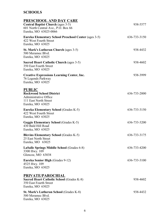# **SCHOOLS**

| PRESCHOOL AND DAY CARE<br><b>Central Baptist Church (ages 3-5)</b><br>601 North Central Ave., P.O. Box 66<br>Eureka, MO 63025-0066 | 938-5577     |
|------------------------------------------------------------------------------------------------------------------------------------|--------------|
| <b>Eureka Elementary School Preschool Center (ages 3-5)</b><br>422 West Fourth Street<br>Eureka, MO 63025                          | 636-733-3150 |
| <b>St. Mark's Lutheran Church (ages 3-5)</b><br>500 Meramec Blvd.<br>Eureka, MO 63025                                              | 938-4432     |
| <b>Sacred Heart Catholic Church (ages 3-5)</b><br>350 East Fourth Street<br>Eureka, MO 63025                                       | 938-4602     |
| <b>Creative Expressions Learning Center, Inc.</b><br>76 Legends Parkway<br>Eureka, MO 63025                                        | 938-3999     |
| <b>PUBLIC</b><br><b>Rockwood School District</b><br><b>Administrative Office</b><br>111 East North Street<br>Eureka, MO 63025      | 636-733-2000 |
| <b>Eureka Elementary School (Grades K-5)</b><br>422 West Fourth Street<br>Eureka, MO 63025                                         | 636-733-3150 |
| <b>Geggie Elementary School (Grades K-5)</b><br>430 Bald Hill Road<br>Eureka, MO 63025                                             | 636-733-3200 |
| <b>Blevins Elementary School (Grades K-5)</b><br>25 East North Street<br>Eureka, MO 63025                                          | 636-733-3175 |
| LaSalle Springs Middle School (Grades 6-8)<br>3300 Hwy. 109<br>Glencoe, MO 63038                                                   | 636-733-4200 |
| <b>Eureka Senior High (Grades 9-12)</b><br>4525 Hwy. 109<br>Eureka, MO 63025                                                       | 636-733-3100 |
| <b>PRIVATE/PAROCHIAL</b><br><b>Sacred Heart Catholic School (Grades K-8)</b><br>350 East Fourth Street<br>Eureka, MO 63025         | 938-4602     |
| <b>St. Mark's Lutheran School (Grades K-8)</b><br>500 Meramec Blvd.<br>Eureka, MO 63025                                            | 938-4432     |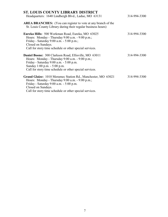| <b>ST. LOUIS COUNTY LIBRARY DISTRICT</b><br>Headquarters: 1640 Lindbergh Blvd., Ladue, MO 63131                                                                                                                                                       | 314-994-3300 |
|-------------------------------------------------------------------------------------------------------------------------------------------------------------------------------------------------------------------------------------------------------|--------------|
| <b>AREA BRANCHES:</b> (You can register to vote at any branch of the<br>St. Louis County Library during their regular business hours)                                                                                                                 |              |
| Eureka Hills: 500 Workman Road, Eureka, MO 63025<br>Hours: Monday - Thursday 9:00 a.m. - 9:00 p.m.;<br>Friday - Saturday 9:00 a.m. - 5:00 p.m.;<br>Closed on Sundays.<br>Call for story time schedule or other special services.                      | 314-994-3300 |
| <b>Daniel Boone:</b> 300 Clarkson Road, Ellisville, MO 63011<br>Hours: Monday - Thursday 9:00 a.m. - 9:00 p.m.;<br>Friday - Saturday 9:00 a.m. - 5:00 p.m.<br>Sunday 1:00 p.m. - 5:00 p.m.<br>Call for story time schedule or other special services. | 314-994-3300 |
| Grand Glaize: 1010 Meramec Station Rd., Manchester, MO 63021<br>Hours: Monday - Thursday 9:00 a.m. - 9:00 p.m.;<br>Friday - Saturday 9:00 a.m. - 5:00 p.m.<br>Closed on Sundays.<br>Call for story time schedule or other special services.           | 314-994-3300 |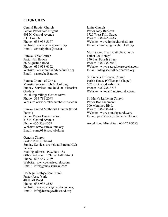#### **CHURCHES**

Central Baptist Church Senior Pastor Ned Nugent 601 N. Central Avenue P.O. Box 66 Phone: 636-938-5577 Website: www.centralpoints.org Email: centralpoints@att.net

Eureka Bible Church Pastor Jim Brown 86 Augustine Road Phone: 636-938-6162 Website: www.eurekabiblechurch.org Email: pastorebc@att.net

Eureka Church of Christ Minister/Servant Bob McCollough Sunday Services are held at Victorian Gardens 15 Hilltop Village Center Drive Phone: 314-791-2098 Website: www.eurekachurchofchrist.com

Eureka United Methodist Church (Food Pantry) Senior Pastor Duane Larson 215 N. Central Avenue Phone: 636-938-6377 Website: www.eurekaumc.org Email: eumc01@sbcglobal.net

Genesis Church Pastor Mike Hubbard Sunday Services are held at Eureka High School Mailing address: P.O. Box 183 Office Address: 1699 W. Fifth Street Phone: 636-549-3189 Website: www.genesiseureka.com Email: info@genesiseureka.com

Heritage Presbyterian Church Pastor Jesse York 4000 Alt Road Phone: 636-938-3855 Website: www.heritagewildwood.org Email: info@heritagewildwood.org

Ignite Church Pastor Jody Burkeen 1729 West Fifth Street Phone: 636-465-2687 Website: www.ignitechurchstl.org Email: church@ignitechurchstl.org

Most Sacred Heart Catholic Church Father Joe Kempf 350 East Fourth Street Phone: 636-938-5048 Website: www.sacredhearteureka.com Email: info@sacredhearteureka.org

St. Francis Episcopal Church Parish House (Office and Chapel): 602 Rockwood Arbor Dr. Phone: 636-938-3733 Website: www.stfranciseureka.com

St. Mark's Lutheran Church Pastor Bob Liebmann 500 Meramec Blvd. Phone: 636-938-4432 Website: www.stmarkseureka.org Email: pastorbob@stmarkseureka.org

Angel Food Ministries: 636-257-3593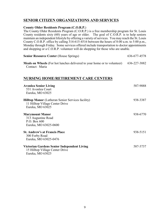# **SENIOR CITIZEN ORGANIZATIONS AND SERVICES**

#### **County Older Residents Program (C.O.R.P.**)

The County Older Residents Program (C.O.R.P.) is a free membership program for St. Louis County residents sixty (60) years of age or older. The goal of C.O.R.P. is to help seniors maintain an independent lifestyle by offering a variety of services. You may reach the St. Louis County C.O.R.P. office by calling 314-615-4516 between the hours of 8:00 a.m. to 5:00 p.m., Monday through Friday. Some services offered include transportation to doctor appointments and shopping or a C.O.R.P. volunteer will do shopping for those who are unable.

| <b>Senior Resource Center (House Springs)</b> | 636-677-4578 |
|-----------------------------------------------|--------------|
|-----------------------------------------------|--------------|

**Meals on Wheels** (For hot lunches delivered to your home or to volunteer) 636-227-3882 Contact: Maria

## **NURSING HOME/RETIREMENT CARE CENTERS**

| <b>Avonlea Senior Living</b><br>531 Avonlea Court<br>Eureka, MO 63025                                           | 587-9888 |
|-----------------------------------------------------------------------------------------------------------------|----------|
| <b>Hilltop Manor</b> (Lutheran Senior Services facility)<br>11 Hilltop Village Center Drive<br>Eureka, MO 63025 | 938-3387 |
| <b>Marymount Manor</b><br>313 Augustine Road<br>P.O. Box 600<br>Eureka, MO 63025-0600                           | 938-6770 |
| <b>St. Andrew's at Francis Place</b><br>300 Forby Road<br>Eureka, MO 63025-0476                                 | 938-5151 |
| Victorian Gardens Senior Independent Living<br>15 Hilltop Village Center Drive<br>Eureka, MO 63025              | 587-3737 |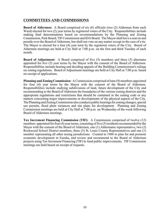# **COMMITTEES AND COMMISSIONS**

**Board of Aldermen:** A Board comprised of six (6) officials (two (2) Aldermen from each Ward) elected for two (2) year terms by registered voters of the City. Responsibilities include making final determinations based on recommendations by the Planning and Zoning Commission, Park Board, TIFCommission and IDA Board. The Mayor shall have a seat on and preside over the Board of Aldermen, but shall not vote on any matter except in the case of a tie. The Mayor is elected for a four (4) year term by the registered voters of the City. Board of Aldermen meetings are held at City Hall at 7:00 p.m. on the first and third Tuesday of each month.

**Board of Adjustment:** A Board comprised of five (5) members and three (3) alternates appointed for five (5) year terms by the Mayor with the consent of the Board of Aldermen. Responsibilities include hearing and deciding appeals of the Building Commissioner's rulings on zoning regulations. Board of Adjustment meetings are held at City Hall at 7:00 p.m. based on receipt of applications.

**Planning and Zoning Commission:** A Commission comprised of nine (9) members appointed for four (4) year terms by the Mayor with the consent of the Board of Aldermen. Responsibilities include studying subdivisions of land, future development of the City and recommending to the Board of Aldermen the boundaries of the various zoning districts and the appropriate regulations and restrictions that should be contained in the zoning code or any matters concerning major improvements or developments of the physical aspects of the City. The Planning and Zoning Commission also conducts public hearings for zoning changes, special use permits, flood plain variances and site plans for development. Planning and Zoning Commission meetings are held at City Hall at 7:00 p.m. on Wednesday of the week following Board of Aldermen meetings.

**Tax Increment Financing Commission (TIF):** A Commission comprised of twelve (12) members appointed for four (4) year terms, consisting of five (5) residents recommended by the Mayor with the consent of the Board of Aldermen, one (1) Aldermanic representative, two (2) Rockwood School District members, three (3) St. Louis County Representatives and one (1) member representing all other taxing jurisdictions. Created in 1988 to plan for and promote economic development in Eureka, and review and recommend to the Board of Aldermen projects using Tax Increment Financing (TIF) to fund public improvements. TIF Commission meetings are held based on receipt of requests.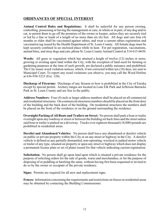# **ORDINANCES OF SPECIAL INTEREST**

**Animal Control Rules and Regulations:** It shall be unlawful for any person owning, controlling, possessing or having the management or care, in whole or in part, of any dog and/or cat, to permit them to go off the premises of the owner or keeper, unless they are securely tied or led by a line or leash of a length of no more than six (6) feet. All dogs and cats four (4) months or older shall be vaccinated against rabies, and wear a current rabies registration and vaccination tag issued by the Health Department of St. Louis County. All female dogs must be kept securely confined in an enclosed place while in heat. For pet registration, vaccinations, animal bites, and stray dogs and cats, phone St. Louis County Animal Control at 314-615-0650.

**Weeds:** All grass or vegetation which has attained a height of twelve (12) inches or more, growing or existing upon land within the City, with the exception of land used for farming or gardening purposes at the time of such growth, are declared a public nuisance and prohibited. The City issues weed violation notices, which, if not corrected within ten (10) days, are sent to Municipal Court. To report any weed violations you observe, you may call the Weed Hotline at 636-938-5233 (Ext. 120).

**Discharge of Firearms:** Discharge of any firearm or bow is prohibited in the City of Eureka except by special permit. Archery ranges are located in Lone Elk Park and Jefferson Barracks Park in St. Louis County and are free to the public.

**Address Numbers:** Four (4) inch or larger address numbers shall be placed on all commercial and residential structures. On commercial structures numbers should be placed on the front door of the building and the back door of the building. On residential structures the numbers shall be placed on the front of the residence or on the ground surrounding the residence.

**Overnight Parking of All Boats and Trailers on Street:** No person shall park a boat or trailer overnight upon any roadway or street or between the building set back lines and the street unless said boat or trailer is parked on a driveway. Trucks over eighteen thousand (18,000) pounds are prohibited in residential areas.

**Derelict and Abandoned Vehicles:** No person shall leave any abandoned or derelict vehicle on public or private property within the City or on any street or highway in the City. A derelict vehicle is defined as any partially dismantled, non-operating, wrecked or junked motor vehicle or trailer of any type, situated on property or upon any street or highway which does not display a permanent license plate or set of plates issued for that vehicle indicating current registration.

**Solicitation:** No person shall go upon land upon which is situated a private residence for the purpose of soliciting orders for the sale of goods, wares and merchandise, or for the purpose of disposing of or peddling or hawking the same, without having first been requested or invited to do so by the owner or occupant of the private residence.

**Signs:** Permits are required for all new and replacement signs.

**Fences:** Information concerning the requirements and restrictions on fences in residential areas may be obtained by contacting the Building Commissioner.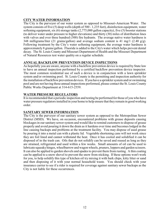#### **CITY WATER INFORMATION**

The City is the purveyor of our water system as opposed to Missouri-American Water. The system consists of five (5) deep wells (depth of 500 - 1,235 feet), disinfection equipment, water softening equipment, six (6) storage tanks (2,775,000 gallon capacity), five (5) booster stations (to deliver water under pressure to higher elevations) and thirty (30) miles of distribution lines with valves and over three hundred (300) fire hydrants. The average native water hardness is 348 milligrams/liter (21 grains/gallon) and average sodium content is 41 mg/1 (2.40 g/g). Following treatment by the City's water softening equipment, the average water hardness is approximately 8 grains/gallon. Fluoride is added to the City's water which helps prevent dental decay. The St. Louis County and Missouri Department of Health and the Missouri Department of Natural Resources test water quality on a regular schedule.

#### **ANNUAL BACKFLOW PREVENTION DEVICE INSPECTIONS**

As hopefully you are aware, anyone with a backflow prevention device is required by State law to have an annual inspection performed by a certified backflow prevention device inspector. The most common residential use of such a device is in conjunction with a lawn sprinkler system and/or swimming pool. St. Louis County is the permitting and inspection authority for the installation of backflow prevention devices. If you have a sprinkler system and/or swimming pool and are not having these annual inspections performed, please contact the St. Louis County Public Works Department at 314-615-2559.

#### **WATER PRESSURE REGULATORS**

It is recommended that a periodic inspection and testing be performed for those of you who have water pressure regulators installed in your home to help ensure that they remain in good working order.

#### **SANITARY SEWER INFORMATION**

The City is the purveyor of our sanitary sewer system as opposed to the Metropolitan Sewer District (MSD). We have, on occasion, encountered problems with grease deposits causing blockages in our sanitary sewer system and would like to remind customers to dispose of grease properly and avoid pouring it down the drain as it hardens over time and becomes lodged in the line causing backups and problems at the treatment facility. You may dispose of used grease by pouring it into a metal can with a plastic lid. Vegetable shortening cans will not work since they are foil lined and cannot withstand the heat. Once it has cooled and solidified it can be disposed of in the trash can. Oils that do not solidify can be saved and reused as long as they are strained, refrigerated and used within a few weeks. Small amounts of oil can be used to lubricate squeakyhinges, wheelbarrow and wagon wheels, pruners, loppers and garden scissors. It can also be applied to garden shovels and spades to prevent them from rusting. A thin coating can be applied to a snow shovel to prevent the snow from sticking. If these options won't work for you, to help solidify this type of kitchen oil try mixing it with bark chips, kitty litter or sand and then disposing of it with your normal household waste. You should check with your insurance carrier to see if a rider is required for coverage against sanitary sewer backups as the City is not liable for these occurrences.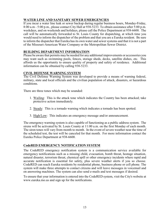#### **WATER LINE AND SANITARY SEWER EMERGENCIES**

If you incur a water line leak or sewer backup during regular business hours, Monday-Friday, 8:00 a.m - 5:00 p.m., please contact City Hall at 938-5233. To obtain assistance after 5:00 p.m. weekdays, and on weekends and holidays, please call the Police Department at 938-6600. The call will be automatically forwarded to St. Louis County for dispatching, at which time you would need to inform the dispatcher of the problem and that you are a Eureka resident. Be sure to inform the dispatcher that Eureka has its own water and sewer systems and that it is not a part of the Missouri-American Water Company or the Metropolitan Sewer District.

#### **BUILDING DEPARTMENT INFORMATION**

Please be aware that permits may be needed for any additional improvements or accessories you may want such as swimming pools, fences, storage sheds, decks, satellite dishes, etc. This affords us the opportunity to ensure quality of property and safety of residence. Additional information can be obtained by calling 938-5233.

#### **CIVIL DEFENSE WARNING SYSTEM**

The Civil Defense Warning System was developed to provide a means of warning federal, military, state and local officials and the civilian population of attack, disasters, or hazardous conditions.

There are three tones which may be sounded:

- 1. Wailing: This is the attack tone which indicates the Country has been attacked; take protective action immediately.
- 2. Steady: This is a tornado warning which indicates a tornado has been spotted.
- 3. High/Low: This indicates an emergency message and/or announcement.

The emergency warning system is also capable of functioning as a public address system. The sirens will be activated by St. Louis County at 11:00 a.m. on the first Monday of each month. The siren tones will vary from month to month. In the event of severe weather near the time of the scheduled test, the test will be canceled for that month. For more information contact the Eureka Police Department at 938-6600.

#### **CodeRED EMERGENCY NOTIFICATION SYSTEM**

The CodeRED emergency notification system is a communication service available for emergency notifications such as a missing child, evacuation, bomb threat, hostage situation, natural disaster, terrorism threat, chemical spill or other emergency incidents where rapid and accurate notification is essential for safety, plus severe weather alerts if you so choose. CodeRED can reach Eureka residents by residential phone, business phone or cell phone. The system will make three attempts to contact citizens and will leave messages in voicemail and on answering machines. The system can also send e-mails and text messages if desired.

To ensure that your information is entered into the CodeRED system, visit the City's website at www.eureka.mo.us and sign up for the notifications.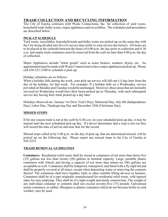# **TRASH COLLECTION AND RECYCLING INFORMATION**

The City of Eureka contracts with Waste Connections, Inc. for collection of yard waste, household trash, bulky waste, major appliances and recyclables. The schedules and procedures are described below:

#### **PICK-UP SCHEDULE**

Yard waste, recyclables, household trash and bulky waste are picked up on the same day with the City being divided into five (5) service days (refer to your service day below). All items are to be placed at the curbside between the hours of 6:00 p.m. the day prior to collection and 6:30 a.m. and empty trash containers must be removed from the curb no later than 8:00 p.m. the day of collection.

Major Appliances include "white goods" such as water heaters, washers, dryers, etc. An appointment must be made with Waste Connections to have major appliances picked-up. Please call 636-321-2100 to schedule a pick-up.

#### Holiday schedules are as follows:

When a holiday falls during the week, your pick-up service will fall one (1) day later from the day of the holiday, for that week. For example: If a holiday falls on a Wednesday, service provided on Monday and Tuesdaywould be unchanged. However, those areas that are normally serviced on Wednesday would have their items picked up on Thursday, with each subsequent service day having their trash picked up a day later.

Holidays observed are: January 1st (New Year's Day), Memorial Day, July 4th (Independence Day), Labor Day, Thanksgiving Day and December 25th (Christmas Day).

#### **MISSED STOPS**

If for any reason trash is not at the curb by 6:30 a.m. on your scheduled pick-up day, it may be missed until the next scheduled pick-up day. If a driver determines that a stop is not out they will record the time of arrival and note that for the record.

Missed stops called in by 5:00 p.m. on the day of pick-up, that are determined missed, will be picked up on the following day. Please report any missed stops to the City of Eureka at 938-5233.

#### **TRASH REMOVAL GUIDELINES**

**Containers:** Residential solid waste shall be stored in containers of not more than thirty-five (35) gallons nor less than twenty (20) gallons in nominal capacity. Large, portable plastic containers with wheels and having a capacity of not more than ninety-six (96) gallons are acceptable as well. Containers shall be leakproof, waterproof, and fitted with a fly-tight lid and shall be properly covered at all times, except when depositing waste or removing the contents thereof. The containers shall have handles, bails or other suitable lifting devices or features. Containers shall be of a type originally manufactured for residential solid waste, with tapered sides for easy emptying. They shall be of a light weight and sturdy construction. The weight of any individual container or contents shall not exceed seventy-five (75) pounds. Galvanized metal containers, or rubber, fiberglass or plastic containers which do not become brittle in cold weather, may be used.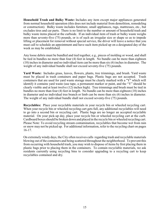**Household Trash and Bulky Waste:** Includes any item except major appliances generated from normal household operation (this does not include material from demolition, remodeling or construction). Bulky waste includes furniture, small appliances, rugs, mattresses, etc., but excludes tires and car parts. There is no limit to the number or amount of household trash and bulky waste items placed at the curbside. If an individual item of trash or bulky waste weighs more than seventy-five (75) pounds, or is of such an irregular size or shape so as to impede lifting or placement for removal without special service, the driver will leave a notice that you must call to schedule an appointment and have such item picked up on a designated day of the week as may be established.

Any loose debris must be bundled and tied together, e.g., pieces of molding or wood, and shall be tied in bundles no more than four (4) feet in length. No bundle can be more than eighteen (18) inches in diameter and no individual item can be more than six (6) inches in diameter. The weight of any individual bundle shall not exceed seventy-five (75) pounds.

**Yard Waste:** Includes grass, leaves, flowers, plants, tree trimmings, and brush. Yard waste must be placed in trash containers and paper bags. Plastic bags are not accepted. Trash containers that are used for yard waste storage must be clearly marked with a "Y" which will identify it contains yard waste (use tape, a permanent marker or paint, and the "Y" should be clearly visible and at least twelve (12) inches high). Tree trimmings and brush must be tied in bundles no more than four (4) feet in length. No bundle can be more than eighteen (18) inches in diameter and no individual tree branch or limb can be more than six (6) inches in diameter. The weight of any individual bundle shall not exceed seventy-five (75) pounds.

**Recyclables:** Place your recyclable materials in your recycle bin or wheeled recycling cart. When your recycle bin or wheeled recycling cart gets full, any additional recyclables will need to go into a second bin or recycling cart. Plastic bags are no longer an accepted recyclable material. On your pick-up day, place your recycle bin or wheeled recycling cart at the curb. Cardboard boxes should be broken down and placed in the recycle bin or wheeled recycling cart. Please Note: To avoid recycling stream contamination, recyclables that become wet from rain or snow may not be picked up. For additional information, refer to the recycling chart on pages 16-17.

On extremely windy days, the City often receives calls regarding trash and recyclable materials blowing out of the containers and being scattered throughout the neighborhood. To prevent this from occurring with household trash, you may wish to dispose of items by first placing them in plastic bags prior to placing them in the containers. To contain recyclable materials, we ask residents currently using recycling bins to consider upgrading to a recycling cart to keep recyclables contained and dry.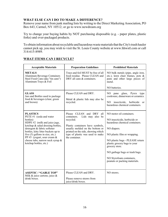#### **WHAT ELSE CAN I DO TO MAKE A DIFFERENCE?**

Remove your name from junk mailing lists by writing to the Direct Marketing Association, PO Box 643, Carmel, NY 10512; or go to www.newdream.org

Try to change your buying habits by NOT purchasing disposable (e.g. - paper plates, plastic forks) and over-packaged products.

To obtain information about recyclable and hazardous waste materials that the City's trash hauler cannot pick up, you may wish to visit the St. Louis County website at www.hhwstl.com or call 314-615-8989.

| <b>Acceptable Materials</b>                                                                                                                                                                                                                                                                                                            | <b>Preparation Guidelines</b>                                                                                                                                                                                                                  | <b>Prohibited Materials</b>                                                                                                                                                                                                                                                                                                   |
|----------------------------------------------------------------------------------------------------------------------------------------------------------------------------------------------------------------------------------------------------------------------------------------------------------------------------------------|------------------------------------------------------------------------------------------------------------------------------------------------------------------------------------------------------------------------------------------------|-------------------------------------------------------------------------------------------------------------------------------------------------------------------------------------------------------------------------------------------------------------------------------------------------------------------------------|
| <b>METALS</b><br><b>Aluminum Beverage Containers</b><br>Steel Food Cans (aka "tin cans")<br>Aluminum Trays & Foil                                                                                                                                                                                                                      | Trays and foil MUST be free of all<br>food residue. Please CLEAN and<br>DRY all cans & containers.                                                                                                                                             | NO bulk metals (pipe, angle iron,<br>etc.), lawn chair frames, pots $\&$<br>pans and other large pieces of<br>metal.                                                                                                                                                                                                          |
|                                                                                                                                                                                                                                                                                                                                        |                                                                                                                                                                                                                                                | NO batteries.                                                                                                                                                                                                                                                                                                                 |
| <b>GLASS</b><br>Jars and Bottles used to package<br>food & beverages (clear, green<br>and brown)                                                                                                                                                                                                                                       | Please CLEAN and DRY.<br>Metal & plastic lids may also be<br>recycled.                                                                                                                                                                         | NO pane glass, Pyrex type<br>cookware, dinnerware or ceramics.<br>insecticide, herbicide<br>NO.<br>$\alpha$<br>hazardous chemical containers.                                                                                                                                                                                 |
| <b>PLASTICS</b><br>PETE #1 (soda and water<br>bottles)<br>HDPE #2 (milk and juice jugs,<br>ketchup & salad dressing bottles,<br>detergent & fabric softener<br>bottles, kitty litter buckets up to<br>five $(5)$ gallons in size, etc.)<br>PP #5 (yogurt, sour cream $&$<br>cheese tubs, narrow neck syrup &<br>ketchup bottles, etc.) | Please CLEAN and DRY<br>all<br>containers.<br>Lids may also be<br>recycled.<br>Plastic containers have symbols,<br>usually molded on the bottom or<br>printed on the side, showing which<br>type of plastic was used to make<br>the container. | NO motor oil containers.<br>NO insecticide, herbicide or<br>hazardous chemical containers.<br>NO diapers.<br>NO plastic film or wrapping.<br>NO plastic bags - PLEASE return<br>plastic grocery bags to your<br>grocery store.<br>NO garbage bags or trash bags.<br>NO Styrofoam containers,<br>peanuts or packing materials. |
| <b>ASEPTIC / "GABLE TOP"</b><br>Milk & juice cartons; juice &<br>drink boxes.                                                                                                                                                                                                                                                          | Please CLEAN and DRY.<br>Please remove straws from<br>juice/drink boxes.                                                                                                                                                                       | NO straws.                                                                                                                                                                                                                                                                                                                    |

#### **WHAT ITEMS CAN I RECYCLE?**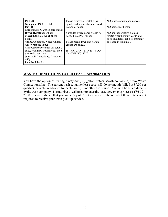| <b>PAPER</b><br>Newspaper INCLUDING<br><b>INSERTS</b> | Please remove all metal clips,<br>spirals and binders from office $\&$<br>notebook paper. | NO plastic newspaper sleeves.<br>NO hardcover books. |
|-------------------------------------------------------|-------------------------------------------------------------------------------------------|------------------------------------------------------|
| Cardboard (NO waxed cardboard)                        |                                                                                           |                                                      |
| Brown (Kraft) paper bags                              | Shredded office paper should be                                                           | NO non-paper items such as                           |
| Magazines, catalogs & phone                           | bagged in a PAPER bag.                                                                    | plastic "membership" cards and                       |
| <b>books</b>                                          |                                                                                           | stick-on address labels commonly                     |
| Office, Computer, Notebook and                        | Please break down and flatten                                                             | enclosed in junk mail.                               |
| Gift Wrapping Paper                                   | cardboard boxes.                                                                          |                                                      |
| Chipboard (boxes such as: cereal,                     |                                                                                           |                                                      |
| cake, food mix, frozen food, shoe,                    | IF YOU CAN TEAR IT - YOU                                                                  |                                                      |
| gift, soda, beer, etc.)                               | <b>CAN RECYCLE IT</b>                                                                     |                                                      |
| Junk mail & envelopes (windows)                       |                                                                                           |                                                      |
| OK)                                                   |                                                                                           |                                                      |
| Paperback books                                       |                                                                                           |                                                      |

#### **WASTE CONNECTIONS TOTER LEASE INFORMATION**

You have the option of renting ninety-six (96) gallon "toters" (trash containers) from Waste Connections, Inc. The current trash container lease cost is \$3.00 per month (billed at \$9.00 per quarter), payable in advance for each three (3) month lease period. You will be billed directly by the trash company. The number to call to commence the lease agreement process is 636-321- 2100. Please indicate that you are a City of Eureka resident. The rental of these toters is not required to receive your trash pick-up service.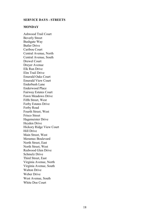#### **SERVICE DAYS - STREETS**

#### **MONDAY**

Ashwood Trail Court Beverly Street Bushgate Way Butler Drive Caribou Court Central Avenue, North Central Avenue, South Drewel Court Dreyer Avenue Elk Run Drive Elm Trail Drive Emerald Oaks Court Emerald View Court Enderbush Lane Enderwood Place Fairway Estates Court Fawn Meadows Drive Fifth Street, West Forby Estates Drive Forby Road Fourth Street, West Frisco Street Hagemeister Drive Heyden Drive Hickory Ridge View Court Hill Drive Main Street, West Meramec Boulevard North Street, East North Street, West Redwood Glen Drive Schmelz Drive Third Street, East Virginia Avenue, North Virginia Avenue, South Walton Drive Weber Drive West Avenue, South White Doe Court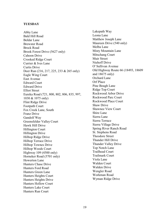#### **TUESDAY**

Abby Lane Bald Hill Road Beldar Lane Brewster Road Brock Road Brook Forest Drive (5627 only) Cahoon Drive Crooked Ridge Court Currier & Ives Lane Curtis Drive Deer Run (216, 217, 225, 233 & 265 only) Eagle Wing Court East Avenue Edward Court Edward Drive Elliot Street Eureka Road (721, 800, 802, 806, 835, 997, 1030 & 1075 only) Flint Ridge Drive Footpath Court Fox Creek Lane, South Franz Drive Gandolf Way Greensfelder Valley Court Hawk Hill Drive Hillington Court Hillington Drive Hilltop Ridge Drive Hilltop Terrace Drive Hilltop Townes Drive Hilltop Woods Court Highway 109 (4500 only) Horneker Road (5701 only) Howerton Lane Hunters Chase Drive Hunters Ford Road Hunters Green Lane Hunters Heights Court Hunters Heights Drive Hunters Hollow Court Hunters Lake Court Hunters Run Court

Lakepath Way Leona Lane Matthew Joseph Lane Maureen Drive (540 only) Melba Lane Misty Mountain Lane Mitschang Court Muir Street Niehoff Drive O' Sullivan Avenue Old Highway Route 66 (18493, 18609 and 18675 only) Orchard Lane Orf Place Pine Bough Lane Ridge Top Court Rockwood Arbor Drive Rockwood Parc Court Rockwood Place Court Shaw Drive Shawnee View Court Shire Lane Sierra Lane Sierra Terrace Sierra Village Drive Spring River Ranch Road St. Stephens Road Theodore Street Thunder Hill Drive Thunder Valley Drive Top Notch Lane Trailhead Court Trailmark Court Viola Lane Walden Court Walden Drive Wengler Road Workman Road Wyman Ridge Drive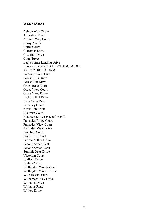#### **WEDNESDAY**

Ashton Way Circle Augustine Road Autumn Way Court Cerny Avenue Cerny Court Cerromar Drive City Hall Drive Clara Street Eagle Pointe Landing Drive Eureka Road (except for 721, 800, 802, 806, 835, 997, 1030 & 1075) Fairway Oaks Drive Forest Hills Drive Forest Run Drive Grace Rose Court Grace View Court Grace View Drive Hickory Hill Drive High View Drive Inverrary Court Kevin Jon Court Maureen Court Maureen Drive (except for 540) Palisades Ridge Court Palisades View Court Palisades View Drive Pin High Court Pin Seeker Court Private Arthur Drive Second Street, East Second Street, West Summit Oaks Drive Victorian Court Wallach Drive Walnut Grove Wellington Woods Court Wellington Woods Drive Wild Hawk Drive Wilderness Way Drive Williams Drive Williams Road Willow Drive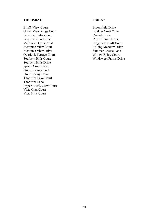#### **THURSDAY**

Bluffs View Court Grand View Ridge Court Legends Bluffs Court Legends View Drive Meramec Bluffs Court Meramec View Court Meramec View Drive Overlook Terrace Court Southern Hills Court Southern Hills Drive Spring Cove Court Stone Spring Court Stone Spring Drive Thorntree Lake Court Thorntree Lane Upper Bluffs View Court Vista Glen Court Vista Hills Court

#### **FRIDAY**

Bloomfield Drive Boulder Crest Court Cascade Lane Crested Point Drive Ridgefield Bluff Court Rolling Meadow Drive Summer Breeze Lane Willow Ridge Court Windswept Farms Drive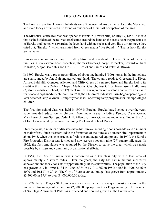# **HISTORY OF EUREKA**

The Eureka area's first known inhabitants were Shawnee Indians on the banks of the Meramec, and even today artifacts can be found as evidence of their past occupation of the area.

The Missouri Pacific Railroad was opened to Franklin (now Pacific) on July 19, 1853. It is said that as the builders of the railroad track came around the bend on the east side of the present site of Eureka and looked westward at the level land with no rocks and very little dirt to move they cried out, "Eureka!", which translated from Greek means "I've found it!" That is how Eureka got its name.

Eureka was laid out as a village in 1858 by Strodt and Shands of St. Louis. Some of the early families in Eureka were Lorenzo Votaw, Thomas Thomas, George Hornecker, Edward William Johnston, Major Beale (his son Dr. J.B.H. Beale) and James and Peter M. Brown.

In 1890, Eureka was a prosperous village of about one hundred (100) homes in the immediate area surrounded by fine fruit and agricultural land. The country roads to Crescent, Big River, Antire, Bald Hill, Glencoe, Allenton and Clifty Creek all centered here, and Eureka had to its credit at this time a Catholic Chapel, Methodist Church, Post Office, Freemasons' Hall, three (3) stores, a district school, two (2) blacksmiths, a wagon maker, a saloon and a fresh air camp for poor and orphaned city children. In 1900, the Children's Industrial Farm began operating and later became Camp Wyman. Camp Wyman is still operating camp programs for underprivileged children.

The first high school class was held in 1909 in Eureka. Eureka-based schools over the years have provided education to children from many areas including Fenton, Creve Coeur, Manchester, House Springs, Cedar Hill, Allenton, Eureka, Glencoe and others. Today, the City of Eureka is served by the award winning Rockwood School District.

Over the years, a number of disasters have hit Eureka including floods, tornados and a number of major fires. Such disasters led to the formation of the Eureka Volunteer Fire Department in about 1945, when they constructed a firehouse and acquired equipment. In 1970, the Eureka Fire Protection District was formed and now serves a seventy-nine (79) square mile area. In 1972, the first ambulance was acquired by the District to serve the area, which was made possible by citizen and community organizational efforts.

In 1954, the City of Eureka was incorporated as a 4th class city with a land area of approximately 2.7 square miles. Over the years, the City has had numerous successful annexations and today consists of approximately 10.45 square miles. The population of the City has grown: 817 in 1950; 1,134 in 1960; 2,384 in 1970; 3,862 in 1980; 4,683 in 1990, 7,676 in 2000 and 10,187 in 2010. The City of Eureka annual budget has grown from approximately \$3,400.00 in 1954 to over \$4,000,000.00 today.

In 1970, the Six Flags - St. Louis was constructed, which is a major tourist attraction in the midwest. An average of two million (2,000,000) people visit Six Flags annually. The presence of Six Flags Amusement Park has influenced and spurred growth in the Eureka area.